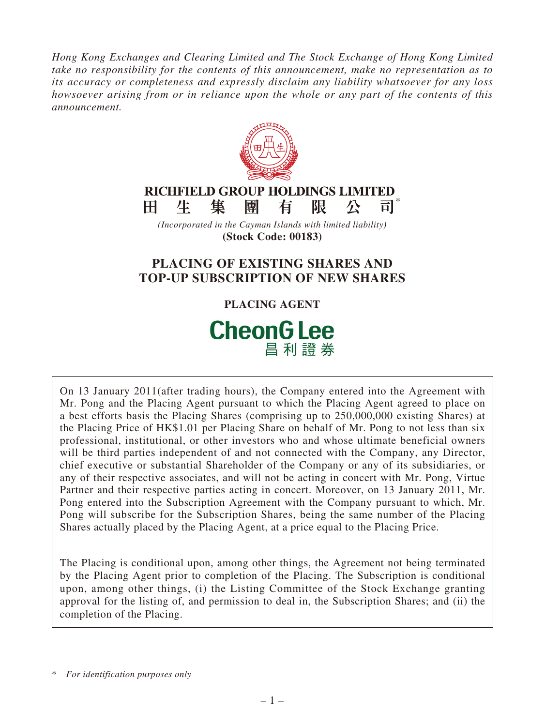*Hong Kong Exchanges and Clearing Limited and The Stock Exchange of Hong Kong Limited take no responsibility for the contents of this announcement, make no representation as to its accuracy or completeness and expressly disclaim any liability whatsoever for any loss howsoever arising from or in reliance upon the whole or any part of the contents of this announcement.*



# **CheonG Lee** 昌利證券

On 13 January 2011(after trading hours), the Company entered into the Agreement with Mr. Pong and the Placing Agent pursuant to which the Placing Agent agreed to place on a best efforts basis the Placing Shares (comprising up to 250,000,000 existing Shares) at the Placing Price of HK\$1.01 per Placing Share on behalf of Mr. Pong to not less than six professional, institutional, or other investors who and whose ultimate beneficial owners will be third parties independent of and not connected with the Company, any Director, chief executive or substantial Shareholder of the Company or any of its subsidiaries, or any of their respective associates, and will not be acting in concert with Mr. Pong, Virtue Partner and their respective parties acting in concert. Moreover, on 13 January 2011, Mr. Pong entered into the Subscription Agreement with the Company pursuant to which, Mr. Pong will subscribe for the Subscription Shares, being the same number of the Placing Shares actually placed by the Placing Agent, at a price equal to the Placing Price.

The Placing is conditional upon, among other things, the Agreement not being terminated by the Placing Agent prior to completion of the Placing. The Subscription is conditional upon, among other things, (i) the Listing Committee of the Stock Exchange granting approval for the listing of, and permission to deal in, the Subscription Shares; and (ii) the completion of the Placing.

<sup>\*</sup> *For identification purposes only*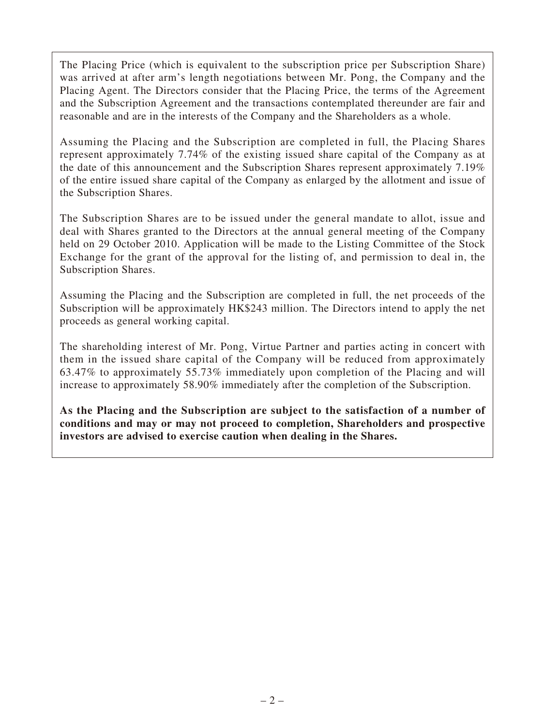The Placing Price (which is equivalent to the subscription price per Subscription Share) was arrived at after arm's length negotiations between Mr. Pong, the Company and the Placing Agent. The Directors consider that the Placing Price, the terms of the Agreement and the Subscription Agreement and the transactions contemplated thereunder are fair and reasonable and are in the interests of the Company and the Shareholders as a whole.

Assuming the Placing and the Subscription are completed in full, the Placing Shares represent approximately 7.74% of the existing issued share capital of the Company as at the date of this announcement and the Subscription Shares represent approximately 7.19% of the entire issued share capital of the Company as enlarged by the allotment and issue of the Subscription Shares.

The Subscription Shares are to be issued under the general mandate to allot, issue and deal with Shares granted to the Directors at the annual general meeting of the Company held on 29 October 2010. Application will be made to the Listing Committee of the Stock Exchange for the grant of the approval for the listing of, and permission to deal in, the Subscription Shares.

Assuming the Placing and the Subscription are completed in full, the net proceeds of the Subscription will be approximately HK\$243 million. The Directors intend to apply the net proceeds as general working capital.

The shareholding interest of Mr. Pong, Virtue Partner and parties acting in concert with them in the issued share capital of the Company will be reduced from approximately 63.47% to approximately 55.73% immediately upon completion of the Placing and will increase to approximately 58.90% immediately after the completion of the Subscription.

**As the Placing and the Subscription are subject to the satisfaction of a number of conditions and may or may not proceed to completion, Shareholders and prospective investors are advised to exercise caution when dealing in the Shares.**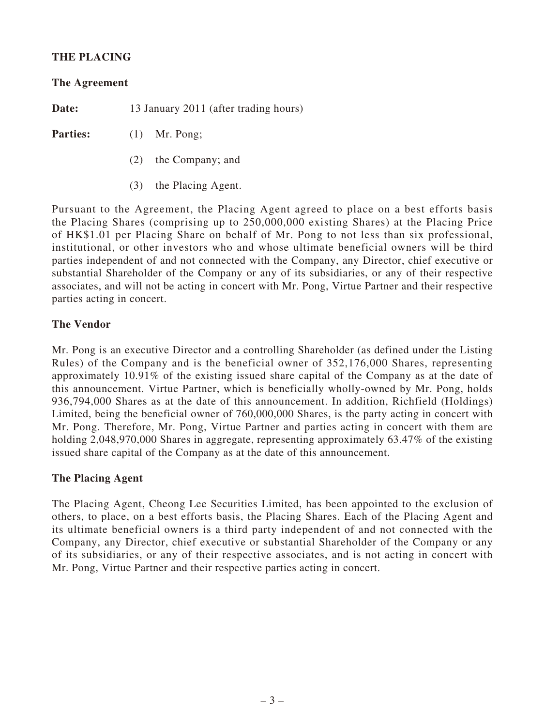## **THE PLACING**

**The Agreement**

**Date:** 13 January 2011 (after trading hours)

Parties: (1) Mr. Pong;

- (2) the Company; and
- (3) the Placing Agent.

Pursuant to the Agreement, the Placing Agent agreed to place on a best efforts basis the Placing Shares (comprising up to 250,000,000 existing Shares) at the Placing Price of HK\$1.01 per Placing Share on behalf of Mr. Pong to not less than six professional, institutional, or other investors who and whose ultimate beneficial owners will be third parties independent of and not connected with the Company, any Director, chief executive or substantial Shareholder of the Company or any of its subsidiaries, or any of their respective associates, and will not be acting in concert with Mr. Pong, Virtue Partner and their respective parties acting in concert.

#### **The Vendor**

Mr. Pong is an executive Director and a controlling Shareholder (as defined under the Listing Rules) of the Company and is the beneficial owner of 352,176,000 Shares, representing approximately 10.91% of the existing issued share capital of the Company as at the date of this announcement. Virtue Partner, which is beneficially wholly-owned by Mr. Pong, holds 936,794,000 Shares as at the date of this announcement. In addition, Richfield (Holdings) Limited, being the beneficial owner of 760,000,000 Shares, is the party acting in concert with Mr. Pong. Therefore, Mr. Pong, Virtue Partner and parties acting in concert with them are holding 2,048,970,000 Shares in aggregate, representing approximately 63.47% of the existing issued share capital of the Company as at the date of this announcement.

#### **The Placing Agent**

The Placing Agent, Cheong Lee Securities Limited, has been appointed to the exclusion of others, to place, on a best efforts basis, the Placing Shares. Each of the Placing Agent and its ultimate beneficial owners is a third party independent of and not connected with the Company, any Director, chief executive or substantial Shareholder of the Company or any of its subsidiaries, or any of their respective associates, and is not acting in concert with Mr. Pong, Virtue Partner and their respective parties acting in concert.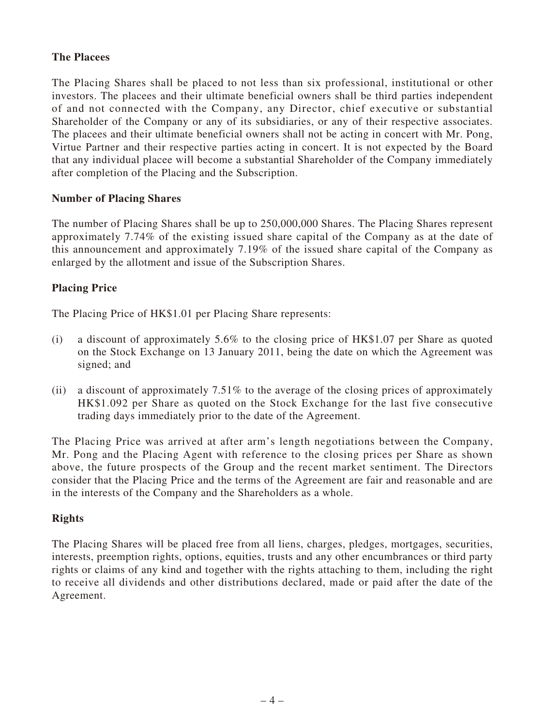## **The Placees**

The Placing Shares shall be placed to not less than six professional, institutional or other investors. The placees and their ultimate beneficial owners shall be third parties independent of and not connected with the Company, any Director, chief executive or substantial Shareholder of the Company or any of its subsidiaries, or any of their respective associates. The placees and their ultimate beneficial owners shall not be acting in concert with Mr. Pong, Virtue Partner and their respective parties acting in concert. It is not expected by the Board that any individual placee will become a substantial Shareholder of the Company immediately after completion of the Placing and the Subscription.

#### **Number of Placing Shares**

The number of Placing Shares shall be up to 250,000,000 Shares. The Placing Shares represent approximately 7.74% of the existing issued share capital of the Company as at the date of this announcement and approximately 7.19% of the issued share capital of the Company as enlarged by the allotment and issue of the Subscription Shares.

## **Placing Price**

The Placing Price of HK\$1.01 per Placing Share represents:

- (i) a discount of approximately 5.6% to the closing price of HK\$1.07 per Share as quoted on the Stock Exchange on 13 January 2011, being the date on which the Agreement was signed; and
- (ii) a discount of approximately  $7.51\%$  to the average of the closing prices of approximately HK\$1.092 per Share as quoted on the Stock Exchange for the last five consecutive trading days immediately prior to the date of the Agreement.

The Placing Price was arrived at after arm's length negotiations between the Company, Mr. Pong and the Placing Agent with reference to the closing prices per Share as shown above, the future prospects of the Group and the recent market sentiment. The Directors consider that the Placing Price and the terms of the Agreement are fair and reasonable and are in the interests of the Company and the Shareholders as a whole.

#### **Rights**

The Placing Shares will be placed free from all liens, charges, pledges, mortgages, securities, interests, preemption rights, options, equities, trusts and any other encumbrances or third party rights or claims of any kind and together with the rights attaching to them, including the right to receive all dividends and other distributions declared, made or paid after the date of the Agreement.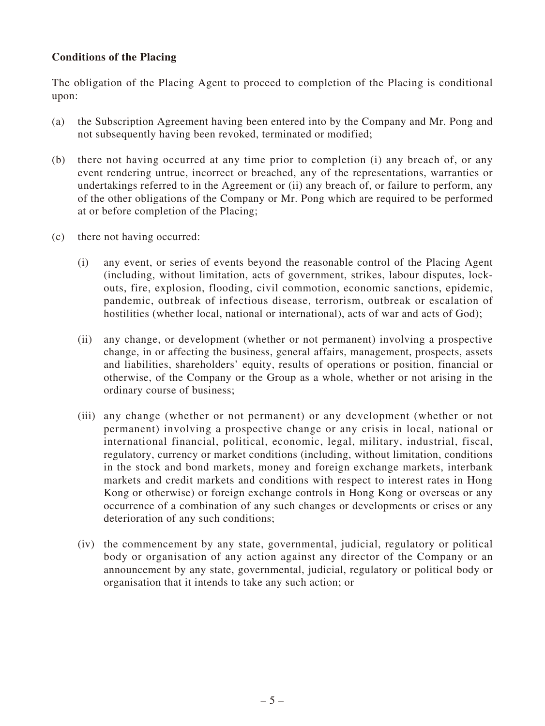## **Conditions of the Placing**

The obligation of the Placing Agent to proceed to completion of the Placing is conditional upon:

- (a) the Subscription Agreement having been entered into by the Company and Mr. Pong and not subsequently having been revoked, terminated or modified;
- (b) there not having occurred at any time prior to completion (i) any breach of, or any event rendering untrue, incorrect or breached, any of the representations, warranties or undertakings referred to in the Agreement or (ii) any breach of, or failure to perform, any of the other obligations of the Company or Mr. Pong which are required to be performed at or before completion of the Placing;
- (c) there not having occurred:
	- (i) any event, or series of events beyond the reasonable control of the Placing Agent (including, without limitation, acts of government, strikes, labour disputes, lockouts, fire, explosion, flooding, civil commotion, economic sanctions, epidemic, pandemic, outbreak of infectious disease, terrorism, outbreak or escalation of hostilities (whether local, national or international), acts of war and acts of God);
	- (ii) any change, or development (whether or not permanent) involving a prospective change, in or affecting the business, general affairs, management, prospects, assets and liabilities, shareholders' equity, results of operations or position, financial or otherwise, of the Company or the Group as a whole, whether or not arising in the ordinary course of business;
	- (iii) any change (whether or not permanent) or any development (whether or not permanent) involving a prospective change or any crisis in local, national or international financial, political, economic, legal, military, industrial, fiscal, regulatory, currency or market conditions (including, without limitation, conditions in the stock and bond markets, money and foreign exchange markets, interbank markets and credit markets and conditions with respect to interest rates in Hong Kong or otherwise) or foreign exchange controls in Hong Kong or overseas or any occurrence of a combination of any such changes or developments or crises or any deterioration of any such conditions;
	- (iv) the commencement by any state, governmental, judicial, regulatory or political body or organisation of any action against any director of the Company or an announcement by any state, governmental, judicial, regulatory or political body or organisation that it intends to take any such action; or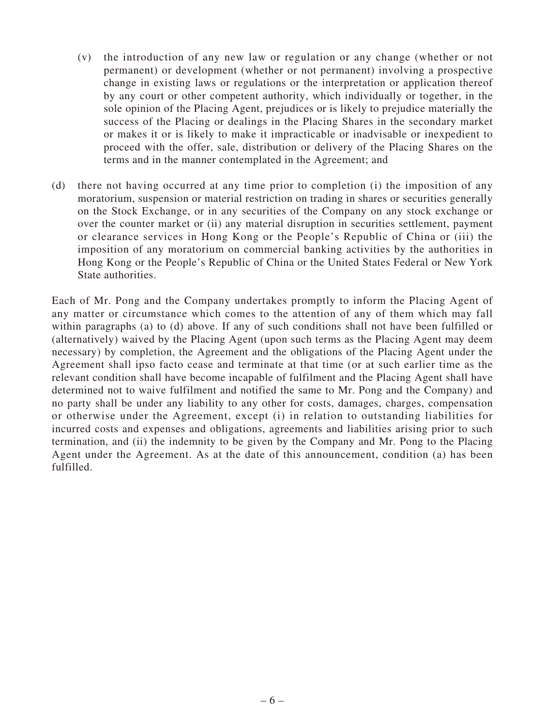- (v) the introduction of any new law or regulation or any change (whether or not permanent) or development (whether or not permanent) involving a prospective change in existing laws or regulations or the interpretation or application thereof by any court or other competent authority, which individually or together, in the sole opinion of the Placing Agent, prejudices or is likely to prejudice materially the success of the Placing or dealings in the Placing Shares in the secondary market or makes it or is likely to make it impracticable or inadvisable or inexpedient to proceed with the offer, sale, distribution or delivery of the Placing Shares on the terms and in the manner contemplated in the Agreement; and
- (d) there not having occurred at any time prior to completion (i) the imposition of any moratorium, suspension or material restriction on trading in shares or securities generally on the Stock Exchange, or in any securities of the Company on any stock exchange or over the counter market or (ii) any material disruption in securities settlement, payment or clearance services in Hong Kong or the People's Republic of China or (iii) the imposition of any moratorium on commercial banking activities by the authorities in Hong Kong or the People's Republic of China or the United States Federal or New York State authorities.

Each of Mr. Pong and the Company undertakes promptly to inform the Placing Agent of any matter or circumstance which comes to the attention of any of them which may fall within paragraphs (a) to (d) above. If any of such conditions shall not have been fulfilled or (alternatively) waived by the Placing Agent (upon such terms as the Placing Agent may deem necessary) by completion, the Agreement and the obligations of the Placing Agent under the Agreement shall ipso facto cease and terminate at that time (or at such earlier time as the relevant condition shall have become incapable of fulfilment and the Placing Agent shall have determined not to waive fulfilment and notified the same to Mr. Pong and the Company) and no party shall be under any liability to any other for costs, damages, charges, compensation or otherwise under the Agreement, except (i) in relation to outstanding liabilities for incurred costs and expenses and obligations, agreements and liabilities arising prior to such termination, and (ii) the indemnity to be given by the Company and Mr. Pong to the Placing Agent under the Agreement. As at the date of this announcement, condition (a) has been fulfilled.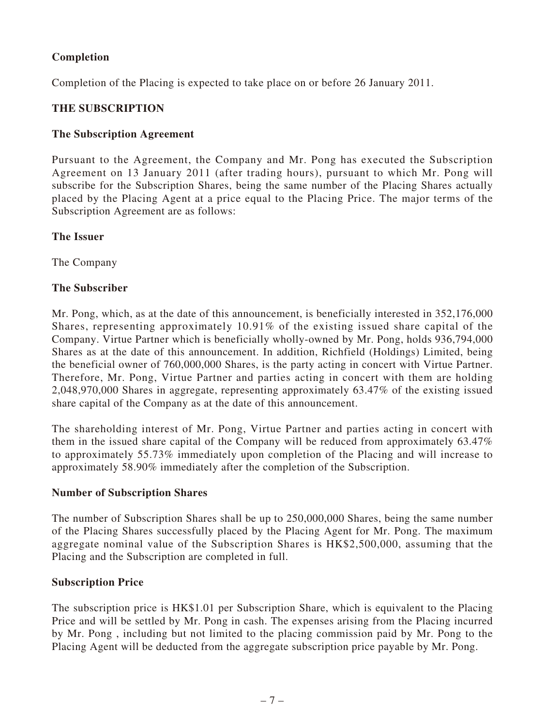# **Completion**

Completion of the Placing is expected to take place on or before 26 January 2011.

# **THE SUBSCRIPTION**

## **The Subscription Agreement**

Pursuant to the Agreement, the Company and Mr. Pong has executed the Subscription Agreement on 13 January 2011 (after trading hours), pursuant to which Mr. Pong will subscribe for the Subscription Shares, being the same number of the Placing Shares actually placed by the Placing Agent at a price equal to the Placing Price. The major terms of the Subscription Agreement are as follows:

#### **The Issuer**

The Company

## **The Subscriber**

Mr. Pong, which, as at the date of this announcement, is beneficially interested in 352,176,000 Shares, representing approximately 10.91% of the existing issued share capital of the Company. Virtue Partner which is beneficially wholly-owned by Mr. Pong, holds 936,794,000 Shares as at the date of this announcement. In addition, Richfield (Holdings) Limited, being the beneficial owner of 760,000,000 Shares, is the party acting in concert with Virtue Partner. Therefore, Mr. Pong, Virtue Partner and parties acting in concert with them are holding 2,048,970,000 Shares in aggregate, representing approximately 63.47% of the existing issued share capital of the Company as at the date of this announcement.

The shareholding interest of Mr. Pong, Virtue Partner and parties acting in concert with them in the issued share capital of the Company will be reduced from approximately 63.47% to approximately 55.73% immediately upon completion of the Placing and will increase to approximately 58.90% immediately after the completion of the Subscription.

#### **Number of Subscription Shares**

The number of Subscription Shares shall be up to 250,000,000 Shares, being the same number of the Placing Shares successfully placed by the Placing Agent for Mr. Pong. The maximum aggregate nominal value of the Subscription Shares is HK\$2,500,000, assuming that the Placing and the Subscription are completed in full.

#### **Subscription Price**

The subscription price is HK\$1.01 per Subscription Share, which is equivalent to the Placing Price and will be settled by Mr. Pong in cash. The expenses arising from the Placing incurred by Mr. Pong , including but not limited to the placing commission paid by Mr. Pong to the Placing Agent will be deducted from the aggregate subscription price payable by Mr. Pong.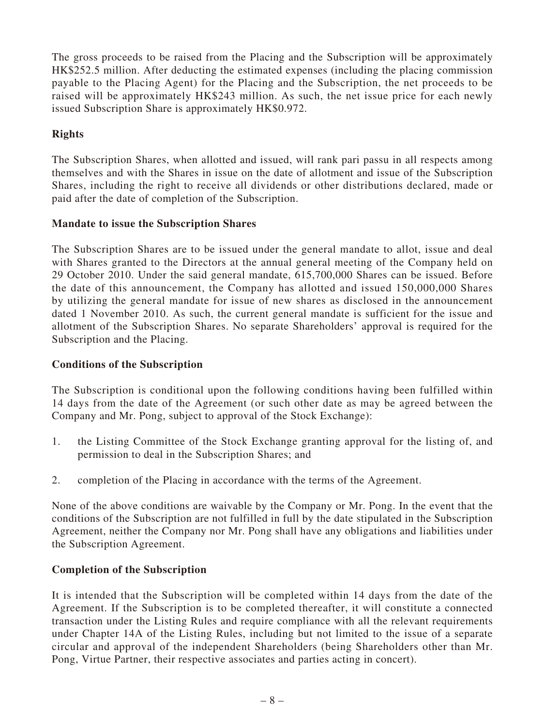The gross proceeds to be raised from the Placing and the Subscription will be approximately HK\$252.5 million. After deducting the estimated expenses (including the placing commission payable to the Placing Agent) for the Placing and the Subscription, the net proceeds to be raised will be approximately HK\$243 million. As such, the net issue price for each newly issued Subscription Share is approximately HK\$0.972.

# **Rights**

The Subscription Shares, when allotted and issued, will rank pari passu in all respects among themselves and with the Shares in issue on the date of allotment and issue of the Subscription Shares, including the right to receive all dividends or other distributions declared, made or paid after the date of completion of the Subscription.

## **Mandate to issue the Subscription Shares**

The Subscription Shares are to be issued under the general mandate to allot, issue and deal with Shares granted to the Directors at the annual general meeting of the Company held on 29 October 2010. Under the said general mandate, 615,700,000 Shares can be issued. Before the date of this announcement, the Company has allotted and issued 150,000,000 Shares by utilizing the general mandate for issue of new shares as disclosed in the announcement dated 1 November 2010. As such, the current general mandate is sufficient for the issue and allotment of the Subscription Shares. No separate Shareholders' approval is required for the Subscription and the Placing.

# **Conditions of the Subscription**

The Subscription is conditional upon the following conditions having been fulfilled within 14 days from the date of the Agreement (or such other date as may be agreed between the Company and Mr. Pong, subject to approval of the Stock Exchange):

- 1. the Listing Committee of the Stock Exchange granting approval for the listing of, and permission to deal in the Subscription Shares; and
- 2. completion of the Placing in accordance with the terms of the Agreement.

None of the above conditions are waivable by the Company or Mr. Pong. In the event that the conditions of the Subscription are not fulfilled in full by the date stipulated in the Subscription Agreement, neither the Company nor Mr. Pong shall have any obligations and liabilities under the Subscription Agreement.

#### **Completion of the Subscription**

It is intended that the Subscription will be completed within 14 days from the date of the Agreement. If the Subscription is to be completed thereafter, it will constitute a connected transaction under the Listing Rules and require compliance with all the relevant requirements under Chapter 14A of the Listing Rules, including but not limited to the issue of a separate circular and approval of the independent Shareholders (being Shareholders other than Mr. Pong, Virtue Partner, their respective associates and parties acting in concert).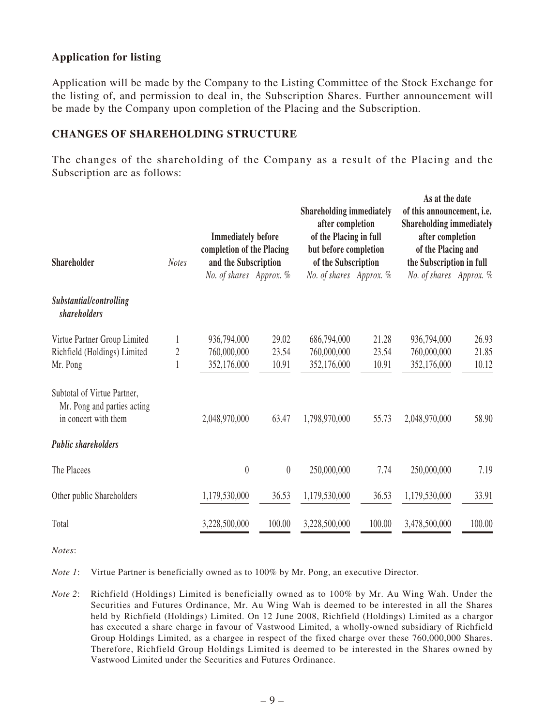## **Application for listing**

Application will be made by the Company to the Listing Committee of the Stock Exchange for the listing of, and permission to deal in, the Subscription Shares. Further announcement will be made by the Company upon completion of the Placing and the Subscription.

#### **CHANGES OF SHAREHOLDING STRUCTURE**

The changes of the shareholding of the Company as a result of the Placing and the Subscription are as follows:

| Shareholder                                                                        | <b>Notes</b>   | <b>Immediately before</b><br>completion of the Placing<br>and the Subscription |          | <b>Shareholding immediately</b><br>after completion<br>of the Placing in full<br>but before completion<br>of the Subscription |        | As at the date<br>of this announcement, i.e.<br><b>Shareholding immediately</b><br>after completion<br>of the Placing and<br>the Subscription in full |        |
|------------------------------------------------------------------------------------|----------------|--------------------------------------------------------------------------------|----------|-------------------------------------------------------------------------------------------------------------------------------|--------|-------------------------------------------------------------------------------------------------------------------------------------------------------|--------|
|                                                                                    |                | No. of shares Approx. %                                                        |          | No. of shares Approx. %                                                                                                       |        | No. of shares Approx. %                                                                                                                               |        |
| Substantial/controlling<br><i>shareholders</i>                                     |                |                                                                                |          |                                                                                                                               |        |                                                                                                                                                       |        |
| Virtue Partner Group Limited                                                       |                | 936,794,000                                                                    | 29.02    | 686,794,000                                                                                                                   | 21.28  | 936,794,000                                                                                                                                           | 26.93  |
| Richfield (Holdings) Limited                                                       | $\overline{2}$ | 760,000,000                                                                    | 23.54    | 760,000,000                                                                                                                   | 23.54  | 760,000,000                                                                                                                                           | 21.85  |
| Mr. Pong                                                                           |                | 352,176,000                                                                    | 10.91    | 352,176,000                                                                                                                   | 10.91  | 352,176,000                                                                                                                                           | 10.12  |
| Subtotal of Virtue Partner,<br>Mr. Pong and parties acting<br>in concert with them |                | 2,048,970,000                                                                  | 63.47    | 1,798,970,000                                                                                                                 | 55.73  | 2,048,970,000                                                                                                                                         | 58.90  |
| <b>Public shareholders</b>                                                         |                |                                                                                |          |                                                                                                                               |        |                                                                                                                                                       |        |
| The Placees                                                                        |                | $\theta$                                                                       | $\theta$ | 250,000,000                                                                                                                   | 7.74   | 250,000,000                                                                                                                                           | 7.19   |
| Other public Shareholders                                                          |                | 1,179,530,000                                                                  | 36.53    | 1,179,530,000                                                                                                                 | 36.53  | 1,179,530,000                                                                                                                                         | 33.91  |
| Total                                                                              |                | 3,228,500,000                                                                  | 100.00   | 3,228,500,000                                                                                                                 | 100.00 | 3,478,500,000                                                                                                                                         | 100.00 |

*Notes*:

*Note 1*: Virtue Partner is beneficially owned as to 100% by Mr. Pong, an executive Director.

*Note 2*: Richfield (Holdings) Limited is beneficially owned as to 100% by Mr. Au Wing Wah. Under the Securities and Futures Ordinance, Mr. Au Wing Wah is deemed to be interested in all the Shares held by Richfield (Holdings) Limited. On 12 June 2008, Richfield (Holdings) Limited as a chargor has executed a share charge in favour of Vastwood Limited, a wholly-owned subsidiary of Richfield Group Holdings Limited, as a chargee in respect of the fixed charge over these 760,000,000 Shares. Therefore, Richfield Group Holdings Limited is deemed to be interested in the Shares owned by Vastwood Limited under the Securities and Futures Ordinance.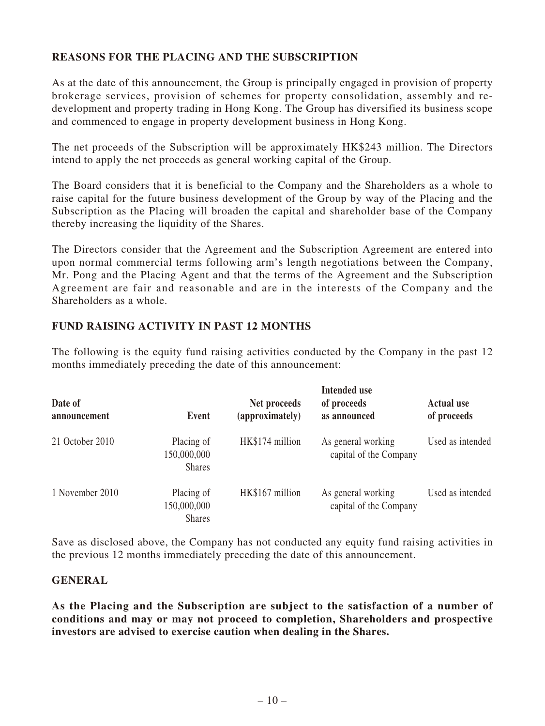# **REASONS FOR THE PLACING AND THE SUBSCRIPTION**

As at the date of this announcement, the Group is principally engaged in provision of property brokerage services, provision of schemes for property consolidation, assembly and redevelopment and property trading in Hong Kong. The Group has diversified its business scope and commenced to engage in property development business in Hong Kong.

The net proceeds of the Subscription will be approximately HK\$243 million. The Directors intend to apply the net proceeds as general working capital of the Group.

The Board considers that it is beneficial to the Company and the Shareholders as a whole to raise capital for the future business development of the Group by way of the Placing and the Subscription as the Placing will broaden the capital and shareholder base of the Company thereby increasing the liquidity of the Shares.

The Directors consider that the Agreement and the Subscription Agreement are entered into upon normal commercial terms following arm's length negotiations between the Company, Mr. Pong and the Placing Agent and that the terms of the Agreement and the Subscription Agreement are fair and reasonable and are in the interests of the Company and the Shareholders as a whole.

#### **FUND RAISING ACTIVITY IN PAST 12 MONTHS**

The following is the equity fund raising activities conducted by the Company in the past 12 months immediately preceding the date of this announcement:

| Date of<br>announcement | Event                                      | Net proceeds<br>(approximately) | <b>Intended use</b><br>of proceeds<br>as announced | <b>Actual use</b><br>of proceeds |
|-------------------------|--------------------------------------------|---------------------------------|----------------------------------------------------|----------------------------------|
| 21 October 2010         | Placing of<br>150,000,000<br><b>Shares</b> | HK\$174 million                 | As general working<br>capital of the Company       | Used as intended                 |
| 1 November 2010         | Placing of<br>150,000,000<br><b>Shares</b> | HK\$167 million                 | As general working<br>capital of the Company       | Used as intended                 |

Save as disclosed above, the Company has not conducted any equity fund raising activities in the previous 12 months immediately preceding the date of this announcement.

#### **GENERAL**

**As the Placing and the Subscription are subject to the satisfaction of a number of conditions and may or may not proceed to completion, Shareholders and prospective investors are advised to exercise caution when dealing in the Shares.**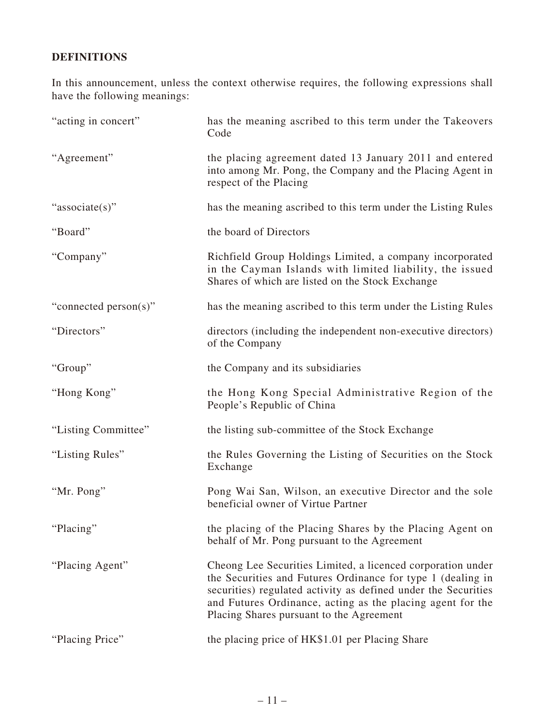# **DEFINITIONS**

In this announcement, unless the context otherwise requires, the following expressions shall have the following meanings:

| "acting in concert"   | has the meaning ascribed to this term under the Takeovers<br>Code                                                                                                                                                                                                                                      |
|-----------------------|--------------------------------------------------------------------------------------------------------------------------------------------------------------------------------------------------------------------------------------------------------------------------------------------------------|
| "Agreement"           | the placing agreement dated 13 January 2011 and entered<br>into among Mr. Pong, the Company and the Placing Agent in<br>respect of the Placing                                                                                                                                                         |
| "associate(s)"        | has the meaning ascribed to this term under the Listing Rules                                                                                                                                                                                                                                          |
| "Board"               | the board of Directors                                                                                                                                                                                                                                                                                 |
| "Company"             | Richfield Group Holdings Limited, a company incorporated<br>in the Cayman Islands with limited liability, the issued<br>Shares of which are listed on the Stock Exchange                                                                                                                               |
| "connected person(s)" | has the meaning ascribed to this term under the Listing Rules                                                                                                                                                                                                                                          |
| "Directors"           | directors (including the independent non-executive directors)<br>of the Company                                                                                                                                                                                                                        |
| "Group"               | the Company and its subsidiaries                                                                                                                                                                                                                                                                       |
| "Hong Kong"           | the Hong Kong Special Administrative Region of the<br>People's Republic of China                                                                                                                                                                                                                       |
| "Listing Committee"   | the listing sub-committee of the Stock Exchange                                                                                                                                                                                                                                                        |
| "Listing Rules"       | the Rules Governing the Listing of Securities on the Stock<br>Exchange                                                                                                                                                                                                                                 |
| "Mr. Pong"            | Pong Wai San, Wilson, an executive Director and the sole<br>beneficial owner of Virtue Partner                                                                                                                                                                                                         |
| "Placing"             | the placing of the Placing Shares by the Placing Agent on<br>behalf of Mr. Pong pursuant to the Agreement                                                                                                                                                                                              |
| "Placing Agent"       | Cheong Lee Securities Limited, a licenced corporation under<br>the Securities and Futures Ordinance for type 1 (dealing in<br>securities) regulated activity as defined under the Securities<br>and Futures Ordinance, acting as the placing agent for the<br>Placing Shares pursuant to the Agreement |
| "Placing Price"       | the placing price of HK\$1.01 per Placing Share                                                                                                                                                                                                                                                        |